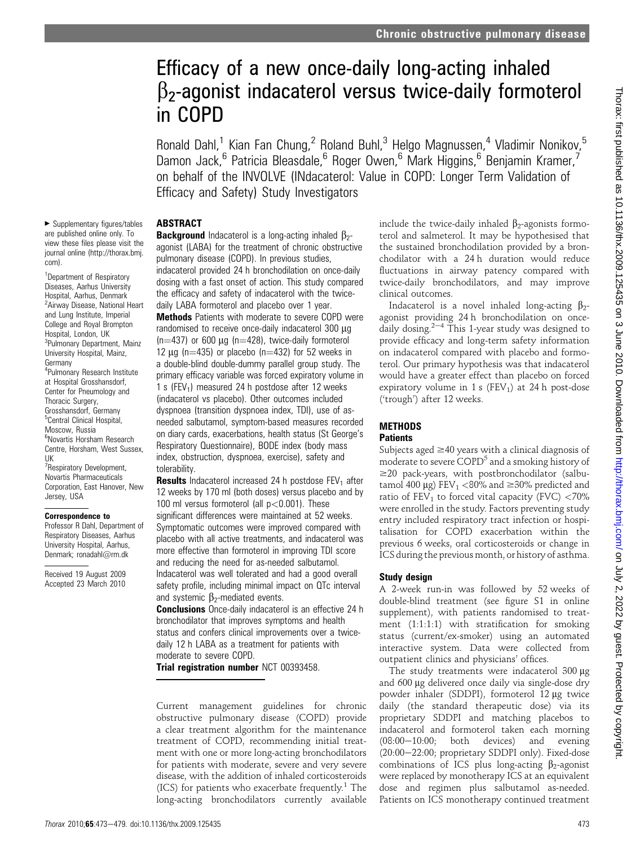# Efficacy of a new once-daily long-acting inhaled  $\beta$ <sub>2</sub>-agonist indacaterol versus twice-daily formoterol in COPD

Ronald Dahl,<sup>1</sup> Kian Fan Chung,<sup>2</sup> Roland Buhl,<sup>3</sup> Helgo Magnussen,<sup>4</sup> Vladimir Nonikov,<sup>5</sup> Damon Jack,<sup>6</sup> Patricia Bleasdale,<sup>6</sup> Roger Owen,<sup>6</sup> Mark Higgins,<sup>6</sup> Benjamin Kramer,<sup>7</sup> on behalf of the INVOLVE (INdacaterol: Value in COPD: Longer Term Validation of Efficacy and Safety) Study Investigators

## ABSTRACT

 $\blacktriangleright$  Supplementary figures/tables are published online only. To view these files please visit the journal online (http://thorax.bmj. com).

<sup>1</sup>Department of Respiratory Diseases, Aarhus University Hospital, Aarhus, Denmark <sup>2</sup> Airway Disease, National Heart and Lung Institute, Imperial College and Royal Brompton Hospital, London, UK <sup>3</sup>Pulmonary Department, Mainz University Hospital, Mainz, Germany 4 Pulmonary Research Institute at Hospital Grosshansdorf, Center for Pneumology and Thoracic Surgery, Grosshansdorf, Germany <sup>5</sup>Central Clinical Hospital, Moscow, Russia 6 Novartis Horsham Research Centre, Horsham, West Sussex, UK <sup>7</sup> Respiratory Development, Novartis Pharmaceuticals Corporation, East Hanover, New Jersey, USA

#### Correspondence to

Professor R Dahl, Department of Respiratory Diseases, Aarhus University Hospital, Aarhus, Denmark; ronadahl@rm.dk

Received 19 August 2009 Accepted 23 March 2010

**Background** Indacaterol is a long-acting inhaled  $\beta$ <sub>2</sub>agonist (LABA) for the treatment of chronic obstructive pulmonary disease (COPD). In previous studies, indacaterol provided 24 h bronchodilation on once-daily dosing with a fast onset of action. This study compared the efficacy and safety of indacaterol with the twicedaily LABA formoterol and placebo over 1 year. Methods Patients with moderate to severe COPD were randomised to receive once-daily indacaterol 300 µg  $(n=437)$  or 600 µg (n=428), twice-daily formoterol 12  $\mu$ q (n=435) or placebo (n=432) for 52 weeks in a double-blind double-dummy parallel group study. The primary efficacy variable was forced expiratory volume in 1 s (FEV<sub>1</sub>) measured 24 h postdose after 12 weeks (indacaterol vs placebo). Other outcomes included dyspnoea (transition dyspnoea index, TDI), use of asneeded salbutamol, symptom-based measures recorded on diary cards, exacerbations, health status (St George's Respiratory Questionnaire), BODE index (body mass index, obstruction, dyspnoea, exercise), safety and tolerability.

**Results** Indacaterol increased 24 h postdose  $FEV<sub>1</sub>$  after 12 weeks by 170 ml (both doses) versus placebo and by 100 ml versus formoterol (all  $p < 0.001$ ). These significant differences were maintained at 52 weeks. Symptomatic outcomes were improved compared with placebo with all active treatments, and indacaterol was more effective than formoterol in improving TDI score and reducing the need for as-needed salbutamol. Indacaterol was well tolerated and had a good overall safety profile, including minimal impact on QTc interval and systemic  $\beta_2$ -mediated events.

**Conclusions** Once-daily indacaterol is an effective 24 h bronchodilator that improves symptoms and health status and confers clinical improvements over a twicedaily 12 h LABA as a treatment for patients with moderate to severe COPD.

Trial registration number NCT 00393458.

Current management guidelines for chronic obstructive pulmonary disease (COPD) provide a clear treatment algorithm for the maintenance treatment of COPD, recommending initial treatment with one or more long-acting bronchodilators for patients with moderate, severe and very severe disease, with the addition of inhaled corticosteroids (ICS) for patients who exacerbate frequently.<sup>1</sup> The long-acting bronchodilators currently available include the twice-daily inhaled  $\beta_2$ -agonists formoterol and salmeterol. It may be hypothesised that the sustained bronchodilation provided by a bronchodilator with a 24 h duration would reduce fluctuations in airway patency compared with twice-daily bronchodilators, and may improve clinical outcomes.

Indacaterol is a novel inhaled long-acting  $\beta_2$ agonist providing 24 h bronchodilation on oncedaily dosing.<sup>2-4</sup> This 1-year study was designed to provide efficacy and long-term safety information on indacaterol compared with placebo and formoterol. Our primary hypothesis was that indacaterol would have a greater effect than placebo on forced expiratory volume in 1 s (FEV<sub>1</sub>) at 24 h post-dose ('trough') after 12 weeks.

## **METHODS**

## **Patients**

Subjects aged  $\geq$ 40 years with a clinical diagnosis of moderate to severe COPD<sup>5</sup> and a smoking history of  $\geq$ 20 pack-years, with postbronchodilator (salbutamol 400  $\mu$ g) FEV<sub>1</sub> <80% and  $\geq$ 30% predicted and ratio of  $FEV_1$  to forced vital capacity (FVC) <70% were enrolled in the study. Factors preventing study entry included respiratory tract infection or hospitalisation for COPD exacerbation within the previous 6 weeks, oral corticosteroids or change in ICS during the previous month, or history of asthma.

## Study design

A 2-week run-in was followed by 52 weeks of double-blind treatment (see figure S1 in online supplement), with patients randomised to treatment (1:1:1:1) with stratification for smoking status (current/ex-smoker) using an automated interactive system. Data were collected from outpatient clinics and physicians' offices.

The study treatments were indacaterol  $300 \mu$ g and 600 mg delivered once daily via single-dose dry powder inhaler (SDDPI), formoterol 12 µg twice daily (the standard therapeutic dose) via its proprietary SDDPI and matching placebos to indacaterol and formoterol taken each morning  $(08:00-10:00;$  both devices) and evening  $(20:00-22:00;$  proprietary SDDPI only). Fixed-dose combinations of ICS plus long-acting  $\beta_2$ -agonist were replaced by monotherapy ICS at an equivalent dose and regimen plus salbutamol as-needed. Patients on ICS monotherapy continued treatment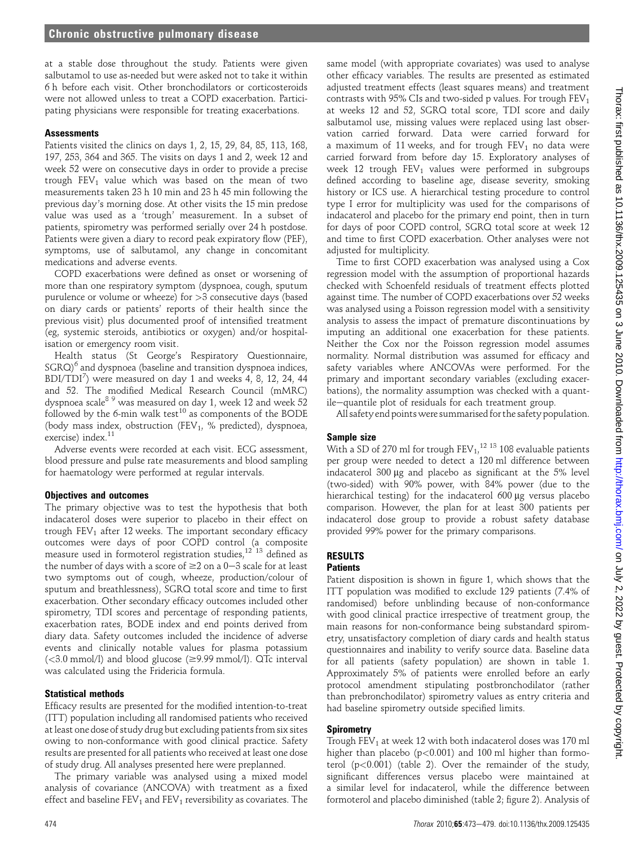at a stable dose throughout the study. Patients were given salbutamol to use as-needed but were asked not to take it within 6 h before each visit. Other bronchodilators or corticosteroids were not allowed unless to treat a COPD exacerbation. Participating physicians were responsible for treating exacerbations.

## **Assessments**

Patients visited the clinics on days 1, 2, 15, 29, 84, 85, 113, 168, 197, 253, 364 and 365. The visits on days 1 and 2, week 12 and week 52 were on consecutive days in order to provide a precise trough  $FEV<sub>1</sub>$  value which was based on the mean of two measurements taken 23 h 10 min and 23 h 45 min following the previous day's morning dose. At other visits the 15 min predose value was used as a 'trough' measurement. In a subset of patients, spirometry was performed serially over 24 h postdose. Patients were given a diary to record peak expiratory flow (PEF), symptoms, use of salbutamol, any change in concomitant medications and adverse events.

COPD exacerbations were defined as onset or worsening of more than one respiratory symptom (dyspnoea, cough, sputum purulence or volume or wheeze) for >3 consecutive days (based on diary cards or patients' reports of their health since the previous visit) plus documented proof of intensified treatment (eg, systemic steroids, antibiotics or oxygen) and/or hospitalisation or emergency room visit.

Health status (St George's Respiratory Questionnaire,  $SGRQ$ <sup>6</sup> and dyspnoea (baseline and transition dyspnoea indices,  $\mathrm{BDI/TDI}^7)$  were measured on day 1 and weeks 4, 8, 12, 24, 44 and 52. The modified Medical Research Council (mMRC) dyspnoea scale $^{\rm 8}$   $^{\rm 9}$  was measured on day 1, week 12 and week 52 followed by the 6-min walk test<sup>10</sup> as components of the BODE (body mass index, obstruction (FEV<sub>1</sub>, % predicted), dyspnoea, exercise) index.<sup>11</sup>

Adverse events were recorded at each visit. ECG assessment, blood pressure and pulse rate measurements and blood sampling for haematology were performed at regular intervals.

## Objectives and outcomes

The primary objective was to test the hypothesis that both indacaterol doses were superior to placebo in their effect on trough  $FEV<sub>1</sub>$  after 12 weeks. The important secondary efficacy outcomes were days of poor COPD control (a composite measure used in formoterol registration studies,  $12^{12}$  13 defined as the number of days with a score of  $\geq 2$  on a 0-3 scale for at least two symptoms out of cough, wheeze, production/colour of sputum and breathlessness), SGRQ total score and time to first exacerbation. Other secondary efficacy outcomes included other spirometry, TDI scores and percentage of responding patients, exacerbation rates, BODE index and end points derived from diary data. Safety outcomes included the incidence of adverse events and clinically notable values for plasma potassium  $(<$ 3.0 mmol/l) and blood glucose ( $\ge$ 9.99 mmol/l). QTc interval was calculated using the Fridericia formula.

## Statistical methods

Efficacy results are presented for the modified intention-to-treat (ITT) population including all randomised patients who received at least one dose of study drug but excluding patients from six sites owing to non-conformance with good clinical practice. Safety results are presented for all patients who received at least one dose of study drug. All analyses presented here were preplanned.

The primary variable was analysed using a mixed model analysis of covariance (ANCOVA) with treatment as a fixed effect and baseline  $FEV_1$  and  $FEV_1$  reversibility as covariates. The

same model (with appropriate covariates) was used to analyse other efficacy variables. The results are presented as estimated adjusted treatment effects (least squares means) and treatment contrasts with 95% CIs and two-sided p values. For trough  $FEV<sub>1</sub>$ at weeks 12 and 52, SGRQ total score, TDI score and daily salbutamol use, missing values were replaced using last observation carried forward. Data were carried forward for a maximum of 11 weeks, and for trough  $FEV<sub>1</sub>$  no data were carried forward from before day 15. Exploratory analyses of week 12 trough  $FEV<sub>1</sub>$  values were performed in subgroups defined according to baseline age, disease severity, smoking history or ICS use. A hierarchical testing procedure to control type I error for multiplicity was used for the comparisons of indacaterol and placebo for the primary end point, then in turn for days of poor COPD control, SGRQ total score at week 12 and time to first COPD exacerbation. Other analyses were not adjusted for multiplicity.

Time to first COPD exacerbation was analysed using a Cox regression model with the assumption of proportional hazards checked with Schoenfeld residuals of treatment effects plotted against time. The number of COPD exacerbations over 52 weeks was analysed using a Poisson regression model with a sensitivity analysis to assess the impact of premature discontinuations by imputing an additional one exacerbation for these patients. Neither the Cox nor the Poisson regression model assumes normality. Normal distribution was assumed for efficacy and safety variables where ANCOVAs were performed. For the primary and important secondary variables (excluding exacerbations), the normality assumption was checked with a quantile-quantile plot of residuals for each treatment group.

All safety end points were summarised for the safety population.

## Sample size

With a SD of 270 ml for trough  $\text{FEV}_{1,}{}^{12\ 13}$  108 evaluable patients per group were needed to detect a 120 ml difference between indacaterol  $300 \mu g$  and placebo as significant at the  $5\%$  level (two-sided) with 90% power, with 84% power (due to the hierarchical testing) for the indacaterol 600 µg versus placebo comparison. However, the plan for at least 300 patients per indacaterol dose group to provide a robust safety database provided 99% power for the primary comparisons.

## RESULTS

## **Patients**

Patient disposition is shown in figure 1, which shows that the ITT population was modified to exclude 129 patients (7.4% of randomised) before unblinding because of non-conformance with good clinical practice irrespective of treatment group, the main reasons for non-conformance being substandard spirometry, unsatisfactory completion of diary cards and health status questionnaires and inability to verify source data. Baseline data for all patients (safety population) are shown in table 1. Approximately 5% of patients were enrolled before an early protocol amendment stipulating postbronchodilator (rather than prebronchodilator) spirometry values as entry criteria and had baseline spirometry outside specified limits.

## Spirometry

Trough FEV<sub>1</sub> at week 12 with both indacaterol doses was 170 ml higher than placebo ( $p<0.001$ ) and 100 ml higher than formoterol (p<0.001) (table 2). Over the remainder of the study, significant differences versus placebo were maintained at a similar level for indacaterol, while the difference between formoterol and placebo diminished (table 2; figure 2). Analysis of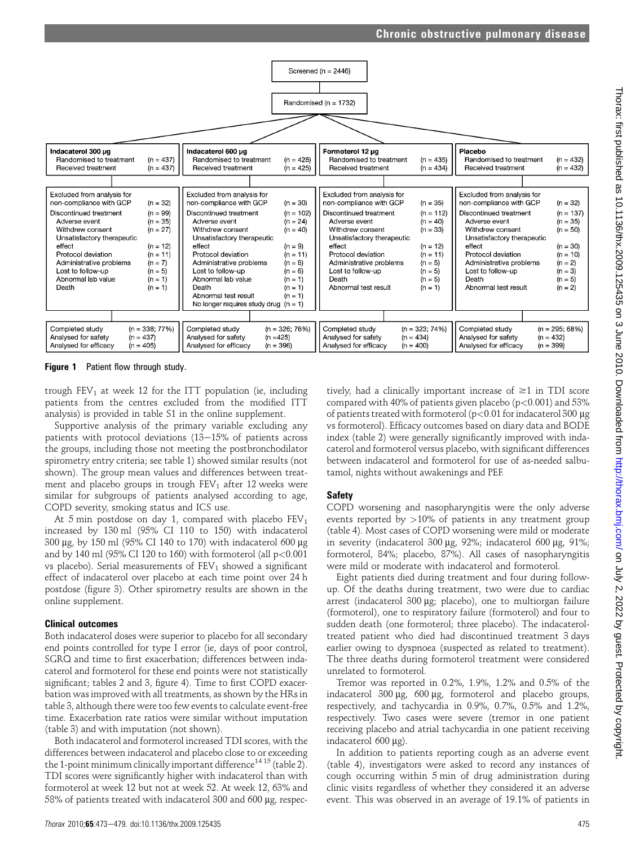



Figure 1 Patient flow through study.

trough  $FEV_1$  at week 12 for the ITT population (ie, including patients from the centres excluded from the modified ITT analysis) is provided in table S1 in the online supplement.

Supportive analysis of the primary variable excluding any patients with protocol deviations  $(13-15)$ % of patients across the groups, including those not meeting the postbronchodilator spirometry entry criteria; see table 1) showed similar results (not shown). The group mean values and differences between treatment and placebo groups in trough  $FEV<sub>1</sub>$  after 12 weeks were similar for subgroups of patients analysed according to age, COPD severity, smoking status and ICS use.

At 5 min postdose on day 1, compared with placebo  $FEV<sub>1</sub>$ increased by 130 ml (95% CI 110 to 150) with indacaterol 300 mg, by 150 ml (95% CI 140 to 170) with indacaterol 600 mg and by 140 ml (95% CI 120 to 160) with formoterol (all  $p<0.001$ ) vs placebo). Serial measurements of  $FEV<sub>1</sub>$  showed a significant effect of indacaterol over placebo at each time point over 24 h postdose (figure 3). Other spirometry results are shown in the online supplement.

#### Clinical outcomes

Both indacaterol doses were superior to placebo for all secondary end points controlled for type I error (ie, days of poor control, SGRQ and time to first exacerbation; differences between indacaterol and formoterol for these end points were not statistically significant; tables 2 and 3, figure 4). Time to first COPD exacerbation was improved with all treatments, as shown by the HRs in table 3, although there were too few events to calculate event-free time. Exacerbation rate ratios were similar without imputation (table 3) and with imputation (not shown).

Both indacaterol and formoterol increased TDI scores, with the differences between indacaterol and placebo close to or exceeding the 1-point minimum clinically important difference<sup>14 15</sup> (table 2). TDI scores were significantly higher with indacaterol than with formoterol at week 12 but not at week 52. At week 12, 63% and 58% of patients treated with indacaterol 300 and 600 µg, respec-

Thorax 2010;65:473-479. doi:10.1136/thx.2009.125435 475

tively, had a clinically important increase of  $\geq 1$  in TDI score compared with 40% of patients given placebo ( $p$ <0.001) and 53% of patients treated with formoterol ( $p < 0.01$  for indacaterol 300  $\mu$ g vs formoterol). Efficacy outcomes based on diary data and BODE index (table 2) were generally significantly improved with indacaterol and formoterol versus placebo, with significant differences between indacaterol and formoterol for use of as-needed salbutamol, nights without awakenings and PEF.

## Safety

COPD worsening and nasopharyngitis were the only adverse events reported by >10% of patients in any treatment group (table 4). Most cases of COPD worsening were mild or moderate in severity (indacaterol 300  $\mu$ g, 92%; indacaterol 600  $\mu$ g, 91%; formoterol, 84%; placebo, 87%). All cases of nasopharyngitis were mild or moderate with indacaterol and formoterol.

Eight patients died during treatment and four during followup. Of the deaths during treatment, two were due to cardiac arrest (indacaterol 300 µg; placebo), one to multiorgan failure (formoterol), one to respiratory failure (formoterol) and four to sudden death (one formoterol; three placebo). The indacateroltreated patient who died had discontinued treatment 3 days earlier owing to dyspnoea (suspected as related to treatment). The three deaths during formoterol treatment were considered unrelated to formoterol.

Tremor was reported in 0.2%, 1.9%, 1.2% and 0.5% of the indacaterol  $300 \mu g$ ,  $600 \mu g$ , formoterol and placebo groups, respectively, and tachycardia in 0.9%, 0.7%, 0.5% and 1.2%, respectively. Two cases were severe (tremor in one patient receiving placebo and atrial tachycardia in one patient receiving indacaterol  $600 \mu$ g).

In addition to patients reporting cough as an adverse event (table 4), investigators were asked to record any instances of cough occurring within 5 min of drug administration during clinic visits regardless of whether they considered it an adverse event. This was observed in an average of 19.1% of patients in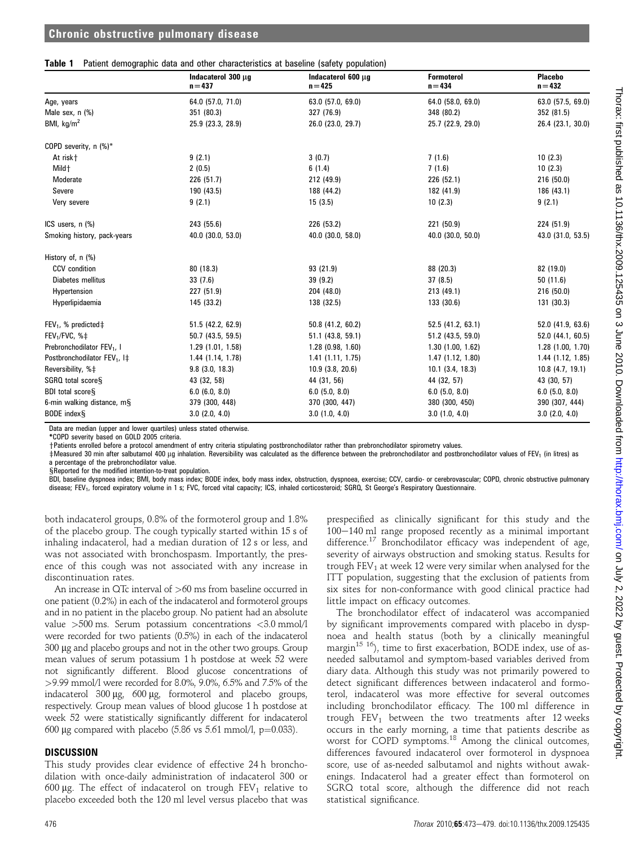#### Table 1 Patient demographic data and other characteristics at baseline (safety population)

|                                           | Indacaterol 300 µg<br>$n = 437$ | Indacaterol 600 µg<br>$n = 425$ | <b>Formoterol</b><br>$n = 434$ | <b>Placebo</b><br>$n = 432$ |
|-------------------------------------------|---------------------------------|---------------------------------|--------------------------------|-----------------------------|
| Age, years                                | 64.0 (57.0, 71.0)               | 63.0 (57.0, 69.0)               | 64.0 (58.0, 69.0)              | 63.0 (57.5, 69.0)           |
| Male sex, n (%)                           | 351 (80.3)                      | 327 (76.9)                      | 348 (80.2)                     | 352 (81.5)                  |
| BMI, $kg/m2$                              | 25.9 (23.3, 28.9)               | 26.0 (23.0, 29.7)               | 25.7 (22.9, 29.0)              | 26.4 (23.1, 30.0)           |
| COPD severity, n (%)*                     |                                 |                                 |                                |                             |
| At risk+                                  | 9(2.1)                          | 3(0.7)                          | 7(1.6)                         | 10(2.3)                     |
| Mild +                                    | 2(0.5)                          | 6(1.4)                          | 7(1.6)                         | 10(2.3)                     |
| Moderate                                  | 226 (51.7)                      | 212 (49.9)                      | 226 (52.1)                     | 216 (50.0)                  |
| Severe                                    | 190 (43.5)                      | 188 (44.2)                      | 182 (41.9)                     | 186 (43.1)                  |
| Very severe                               | 9(2.1)                          | 15(3.5)                         | 10(2.3)                        | 9(2.1)                      |
| ICS users, n (%)                          | 243 (55.6)                      | 226 (53.2)                      | 221 (50.9)                     | 224 (51.9)                  |
| Smoking history, pack-years               | 40.0 (30.0, 53.0)               | 40.0 (30.0, 58.0)               | 40.0 (30.0, 50.0)              | 43.0 (31.0, 53.5)           |
| History of, n (%)                         |                                 |                                 |                                |                             |
| <b>CCV</b> condition                      | 80 (18.3)                       | 93 (21.9)                       | 88 (20.3)                      | 82 (19.0)                   |
| Diabetes mellitus                         | 33(7.6)                         | 39 (9.2)                        | 37(8.5)                        | 50(11.6)                    |
| Hypertension                              | 227 (51.9)                      | 204 (48.0)                      | 213 (49.1)                     | 216 (50.0)                  |
| Hyperlipidaemia                           | 145 (33.2)                      | 138 (32.5)                      | 133 (30.6)                     | 131 (30.3)                  |
| FEV <sub>1</sub> , % predicted $\ddagger$ | 51.5 (42.2, 62.9)               | 50.8 (41.2, 60.2)               | 52.5 (41.2, 63.1)              | 52.0 (41.9, 63.6)           |
| FEV <sub>1</sub> /FVC, $% \pm$            | 50.7 (43.5, 59.5)               | 51.1 (43.8, 59.1)               | 51.2 (43.5, 59.0)              | 52.0 (44.1, 60.5)           |
| Prebronchodilator FEV <sub>1</sub> , I    | 1.29(1.01, 1.58)                | $1.28$ (0.98, 1.60)             | 1.30(1.00, 1.62)               | 1.28(1.00, 1.70)            |
| Postbronchodilator FEV <sub>1</sub> , I‡  | 1.44 (1.14, 1.78)               | 1.41(1.11, 1.75)                | 1.47(1.12, 1.80)               | $1.44$ (1.12, 1.85)         |
| Reversibility, %‡                         | $9.8$ (3.0, 18.3)               | $10.9$ (3.8, 20.6)              | $10.1$ (3.4, 18.3)             | $10.8$ (4.7, 19.1)          |
| SGRQ total score§                         | 43 (32, 58)                     | 44 (31, 56)                     | 44 (32, 57)                    | 43 (30, 57)                 |
| BDI total scoreS                          | $6.0$ (6.0, 8.0)                | $6.0$ (5.0, 8.0)                | $6.0$ (5.0, 8.0)               | $6.0$ (5.0, 8.0)            |
| 6-min walking distance, mS                | 379 (300, 448)                  | 370 (300, 447)                  | 380 (300, 450)                 | 390 (307, 444)              |
| BODE index §                              | $3.0$ (2.0, 4.0)                | 3.0(1.0, 4.0)                   | $3.0$ $(1.0, 4.0)$             | $3.0$ (2.0, 4.0)            |

Data are median (upper and lower quartiles) unless stated otherwise.

\*COPD severity based on GOLD 2005 criteria.

yPatients enrolled before a protocol amendment of entry criteria stipulating postbronchodilator rather than prebronchodilator spirometry values.

 $\pm$ Measured 30 min after salbutamol 400 µg inhalation. Reversibility was calculated as the difference between the prebronchodilator and postbronchodilator values of FEV<sub>1</sub> (in litres) as a percentage of the prebronchodilator value.

SReported for the modified intention-to-treat population.

BDI, baseline dyspnoea index; BMI, body mass index; BODE index, body mass index, obstruction, dyspnoea, exercise; CCV, cardio- or cerebrovascular; COPD, chronic obstructive pulmonary disease; FEV<sub>1</sub>, forced expiratory volume in 1 s; FVC, forced vital capacity; ICS, inhaled corticosteroid; SGRQ, St George's Respiratory Questionnaire.

both indacaterol groups, 0.8% of the formoterol group and 1.8% of the placebo group. The cough typically started within 15 s of inhaling indacaterol, had a median duration of 12 s or less, and was not associated with bronchospasm. Importantly, the presence of this cough was not associated with any increase in discontinuation rates.

An increase in QTc interval of >60 ms from baseline occurred in one patient (0.2%) in each of the indacaterol and formoterol groups and in no patient in the placebo group. No patient had an absolute value >500 ms. Serum potassium concentrations <3.0 mmol/l were recorded for two patients (0.5%) in each of the indacaterol 300 µg and placebo groups and not in the other two groups. Group mean values of serum potassium 1 h postdose at week 52 were not significantly different. Blood glucose concentrations of >9.99 mmol/l were recorded for 8.0%, 9.0%, 6.5% and 7.5% of the indacaterol  $300 \mu g$ ,  $600 \mu g$ , formoterol and placebo groups, respectively. Group mean values of blood glucose 1 h postdose at week 52 were statistically significantly different for indacaterol 600 µg compared with placebo (5.86 vs 5.61 mmol/l,  $p=0.033$ ).

## **DISCUSSION**

This study provides clear evidence of effective 24 h bronchodilation with once-daily administration of indacaterol 300 or 600 µg. The effect of indacaterol on trough  $FEV<sub>1</sub>$  relative to placebo exceeded both the 120 ml level versus placebo that was

prespecified as clinically significant for this study and the  $100-140$  ml range proposed recently as a minimal important difference.<sup>17</sup> Bronchodilator efficacy was independent of age, severity of airways obstruction and smoking status. Results for trough  $FEV<sub>1</sub>$  at week 12 were very similar when analysed for the ITT population, suggesting that the exclusion of patients from six sites for non-conformance with good clinical practice had little impact on efficacy outcomes.

The bronchodilator effect of indacaterol was accompanied by significant improvements compared with placebo in dyspnoea and health status (both by a clinically meaningful margin<sup>15 16</sup>), time to first exacerbation, BODE index, use of asneeded salbutamol and symptom-based variables derived from diary data. Although this study was not primarily powered to detect significant differences between indacaterol and formoterol, indacaterol was more effective for several outcomes including bronchodilator efficacy. The 100 ml difference in trough  $FEV<sub>1</sub>$  between the two treatments after 12 weeks occurs in the early morning, a time that patients describe as worst for COPD symptoms.<sup>18</sup> Among the clinical outcomes, differences favoured indacaterol over formoterol in dyspnoea score, use of as-needed salbutamol and nights without awakenings. Indacaterol had a greater effect than formoterol on SGRQ total score, although the difference did not reach statistical significance.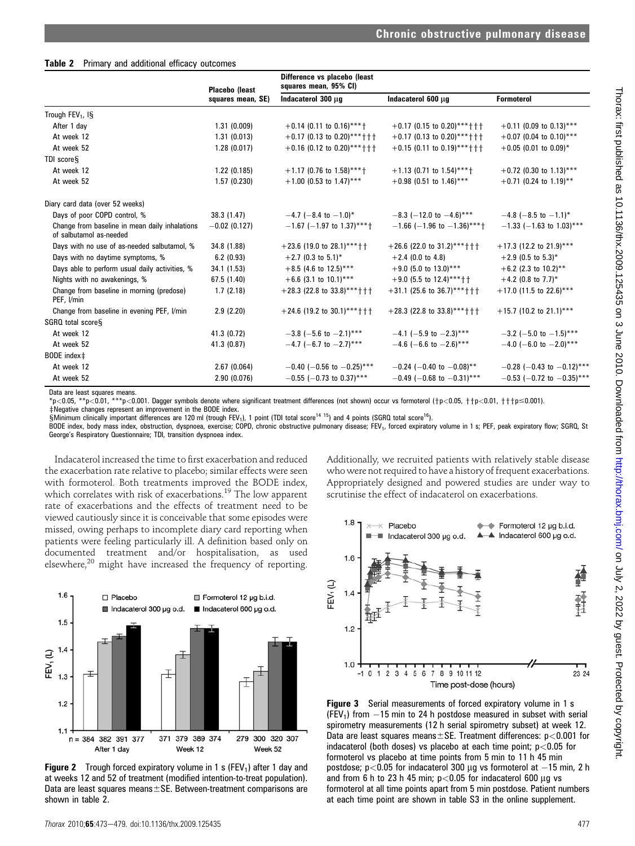### Table 2 Primary and additional efficacy outcomes

|                                                                           | Placebo (least    | Difference vs placebo (least<br>squares mean, 95% CI) |                                  |                                |
|---------------------------------------------------------------------------|-------------------|-------------------------------------------------------|----------------------------------|--------------------------------|
|                                                                           | squares mean, SE) | Indacaterol 300 µq                                    | Indacaterol 600 µg               | <b>Formoterol</b>              |
| Trough FEV <sub>1</sub> , IS                                              |                   |                                                       |                                  |                                |
| After 1 day                                                               | 1.31(0.009)       | $+0.14$ (0.11 to 0.16)****                            | $+0.17$ (0.15 to 0.20)**** + + + | $+0.11$ (0.09 to 0.13)***      |
| At week 12                                                                | 1.31(0.013)       | $+0.17$ (0.13 to 0.20)**** + + +                      | $+0.17$ (0.13 to 0.20)**** + + + | $+0.07$ (0.04 to 0.10)***      |
| At week 52                                                                | 1.28(0.017)       | $+0.16$ (0.12 to 0.20)****+++                         | $+0.15$ (0.11 to 0.19)****†††    | $+0.05$ (0.01 to 0.09)*        |
| TDI score <sub>S</sub>                                                    |                   |                                                       |                                  |                                |
| At week 12                                                                | 1.22(0.185)       | $+1.17$ (0.76 to 1.58)****                            | $+1.13$ (0.71 to 1.54)***+       | +0.72 (0.30 to 1.13)***        |
| At week 52                                                                | 1.57(0.230)       | $+1.00$ (0.53 to 1.47)***                             | $+0.98$ (0.51 to 1.46)***        | $+0.71$ (0.24 to 1.19)**       |
| Diary card data (over 52 weeks)                                           |                   |                                                       |                                  |                                |
| Days of poor COPD control, %                                              | 38.3 (1.47)       | $-4.7$ (-8.4 to $-1.0$ )*                             | $-8.3$ (-12.0 to -4.6)***        | $-4.8$ (-8.5 to -1.1)*         |
| Change from baseline in mean daily inhalations<br>of salbutamol as-needed | $-0.02$ (0.127)   | $-1.67$ (-1.97 to 1.37)***+                           | $-1.66$ (-1.96 to -1.36)****     | $-1.33$ (-1.63 to 1.03)***     |
| Days with no use of as-needed salbutamol, %                               | 34.8 (1.88)       | $+23.6$ (19.0 to 28.1)**** + +                        | $+26.6$ (22.0 to 31.2)**** + + + | $+17.3$ (12.2 to 21.9)***      |
| Days with no daytime symptoms, %                                          | 6.2(0.93)         | $+2.7$ (0.3 to 5.1)*                                  | $+2.4$ (0.0 to 4.8)              | $+2.9$ (0.5 to 5.3)*           |
| Days able to perform usual daily activities, %                            | 34.1 (1.53)       | $+8.5$ (4.6 to 12.5)***                               | $+9.0$ (5.0 to 13.0)***          | $+6.2$ (2.3 to 10.2)**         |
| Nights with no awakenings, %                                              | 67.5 (1.40)       | $+6.6$ (3.1 to 10.1)***                               | $+9.0$ (5.5 to 12.4)***++        | $+4.2$ (0.8 to 7.7)*           |
| Change from baseline in morning (predose)<br>PEF, I/min                   | 1.7(2.18)         | $+28.3$ (22.8 to 33.8)**** + + +                      | $+31.1$ (25.6 to 36.7)**** + + + | $+17.0$ (11.5 to 22.6)***      |
| Change from baseline in evening PEF, I/min                                | 2.9(2.20)         | $+24.6$ (19.2 to 30.1)**** + + +                      | $+28.3$ (22.8 to 33.8)**** + + + | $+15.7$ (10.2 to 21.1)***      |
| SGRQ total scoreS                                                         |                   |                                                       |                                  |                                |
| At week 12                                                                | 41.3 (0.72)       | $-3.8$ (-5.6 to -2.1)***                              | $-4.1$ (-5.9 to $-2.3$ )***      | $-3.2$ (-5.0 to $-1.5$ )***    |
| At week 52                                                                | 41.3 (0.87)       | $-4.7$ (-6.7 to $-2.7$ )***                           | $-4.6$ (-6.6 to -2.6)***         | $-4.0$ (-6.0 to $-2.0$ )***    |
| BODE index‡                                                               |                   |                                                       |                                  |                                |
| At week 12                                                                | 2.67(0.064)       | $-0.40$ (-0.56 to $-0.25$ )***                        | $-0.24$ (-0.40 to $-0.08$ )**    | $-0.28$ (-0.43 to -0.12)***    |
| At week 52                                                                | 2.90(0.076)       | $-0.55$ (-0.73 to 0.37)***                            | $-0.49$ (-0.68 to $-0.31$ )***   | $-0.53$ (-0.72 to $-0.35$ )*** |

Data are least squares means.

\*p<0.05, \*\*p<0.01, \*\*\*p<0.001. Dagger symbols denote where significant treatment differences (not shown) occur vs formoterol (†p<0.05, ††p<0.01, †††p≤0.001). zNegative changes represent an improvement in the BODE index.

 $$$ Minimum clinically important differences are 120 ml (trough FEV<sub>1</sub>), 1 point (TDI total score<sup>14 15</sup>) and 4 points (SGRQ total score<sup>16</sup>).

BODE index, body mass index, obstruction, dyspnoea, exercise; COPD, chronic obstructive pulmonary disease; FEV<sub>1</sub>, forced expiratory volume in 1 s; PEF, peak expiratory flow; SGRQ, St George's Respiratory Questionnaire; TDI, transition dyspnoea index.

Indacaterol increased the time to first exacerbation and reduced the exacerbation rate relative to placebo; similar effects were seen with formoterol. Both treatments improved the BODE index, which correlates with risk of exacerbations.<sup>19</sup> The low apparent rate of exacerbations and the effects of treatment need to be viewed cautiously since it is conceivable that some episodes were missed, owing perhaps to incomplete diary card reporting when patients were feeling particularly ill. A definition based only on documented treatment and/or hospitalisation, as used elsewhere,<sup>20</sup> might have increased the frequency of reporting.



**Figure 2** Trough forced expiratory volume in 1 s (FEV<sub>1</sub>) after 1 day and at weeks 12 and 52 of treatment (modified intention-to-treat population). Data are least squares means $\pm$ SE. Between-treatment comparisons are shown in table 2.



Additionally, we recruited patients with relatively stable disease who were not required to have a history of frequent exacerbations. Appropriately designed and powered studies are under way to

scrutinise the effect of indacaterol on exacerbations.

**Figure 3** Serial measurements of forced expiratory volume in 1 s  $(FEV<sub>1</sub>)$  from  $-15$  min to 24 h postdose measured in subset with serial spirometry measurements (12 h serial spirometry subset) at week 12. Data are least squares means $\pm$ SE. Treatment differences: p<0.001 for indacaterol (both doses) vs placebo at each time point;  $p < 0.05$  for formoterol vs placebo at time points from 5 min to 11 h 45 min postdose;  $p < 0.05$  for indacaterol 300  $\mu$ g vs formoterol at  $-15$  min, 2 h and from 6 h to 23 h 45 min;  $p < 0.05$  for indacaterol 600  $\mu$ q vs formoterol at all time points apart from 5 min postdose. Patient numbers at each time point are shown in table S3 in the online supplement.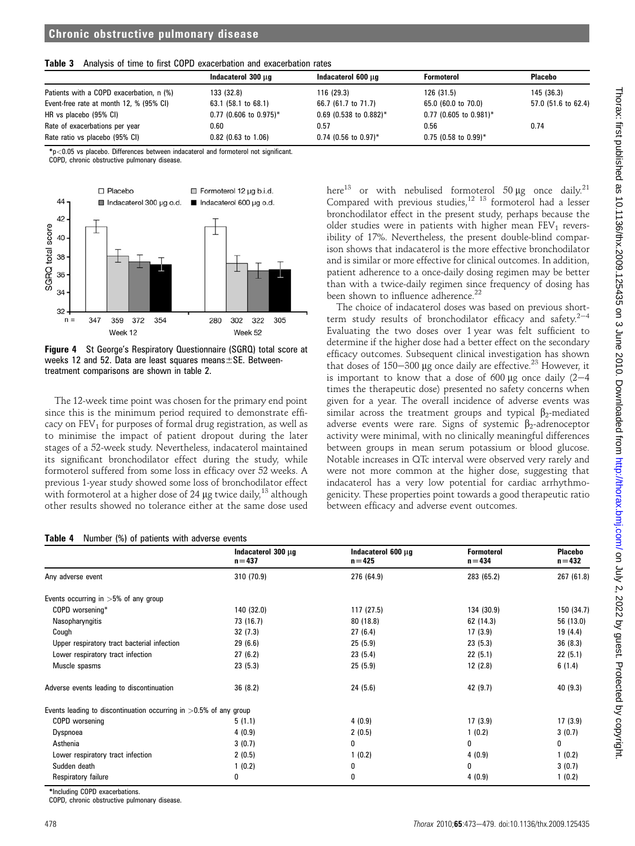|  |  |  |  |  |  |  | Table 3 Analysis of time to first COPD exacerbation and exacerbation rates |  |
|--|--|--|--|--|--|--|----------------------------------------------------------------------------|--|
|--|--|--|--|--|--|--|----------------------------------------------------------------------------|--|

|                                          | Indacaterol 300 µg       | Indacaterol 600 µg                 | <b>Formoterol</b>        | <b>Placebo</b>      |
|------------------------------------------|--------------------------|------------------------------------|--------------------------|---------------------|
| Patients with a COPD exacerbation, n (%) | 133 (32.8)               | 116 (29.3)                         | 126 (31.5)               | 145 (36.3)          |
| Event-free rate at month 12, % (95% CI)  | 63.1 (58.1 to 68.1)      | 66.7 (61.7 to 71.7)                | 65.0 (60.0 to 70.0)      | 57.0 (51.6 to 62.4) |
| HR vs placebo (95% CI)                   | $0.77$ (0.606 to 0.975)* | $0.69$ (0.538 to 0.882)*           | $0.77$ (0.605 to 0.981)* |                     |
| Rate of exacerbations per year           | 0.60                     | 0.57                               | 0.56                     | 0.74                |
| Rate ratio vs placebo (95% CI)           | $0.82$ (0.63 to 1.06)    | $0.74$ (0.56 to 0.97) <sup>*</sup> | $0.75$ (0.58 to 0.99)*   |                     |

\*p<0.05 vs placebo. Differences between indacaterol and formoterol not significant.

COPD, chronic obstructive pulmonary disease.



Figure 4 St George's Respiratory Questionnaire (SGRQ) total score at weeks 12 and 52. Data are least squares means $\pm$ SE. Betweentreatment comparisons are shown in table 2.

The 12-week time point was chosen for the primary end point since this is the minimum period required to demonstrate efficacy on  $FEV<sub>1</sub>$  for purposes of formal drug registration, as well as to minimise the impact of patient dropout during the later stages of a 52-week study. Nevertheless, indacaterol maintained its significant bronchodilator effect during the study, while formoterol suffered from some loss in efficacy over 52 weeks. A previous 1-year study showed some loss of bronchodilator effect with formoterol at a higher dose of 24  $\mu$ g twice daily,<sup>13</sup> although other results showed no tolerance either at the same dose used

## $N$ umber  $(0)$  of patients with adverse even

here<sup>13</sup> or with nebulised formoterol 50  $\mu$ g once daily.<sup>21</sup> Compared with previous studies,<sup>12 13</sup> formoterol had a lesser bronchodilator effect in the present study, perhaps because the older studies were in patients with higher mean  $FEV<sub>1</sub>$  reversibility of 17%. Nevertheless, the present double-blind comparison shows that indacaterol is the more effective bronchodilator and is similar or more effective for clinical outcomes. In addition, patient adherence to a once-daily dosing regimen may be better than with a twice-daily regimen since frequency of dosing has been shown to influence adherence.<sup>22</sup>

The choice of indacaterol doses was based on previous shortterm study results of bronchodilator efficacy and safety. $2^{-4}$ Evaluating the two doses over 1 year was felt sufficient to determine if the higher dose had a better effect on the secondary efficacy outcomes. Subsequent clinical investigation has shown that doses of  $150-300$  µg once daily are effective.<sup>23</sup> However, it is important to know that a dose of 600  $\mu$ g once daily (2-4 times the therapeutic dose) presented no safety concerns when given for a year. The overall incidence of adverse events was similar across the treatment groups and typical  $\beta_2$ -mediated adverse events were rare. Signs of systemic  $\beta_2$ -adrenoceptor activity were minimal, with no clinically meaningful differences between groups in mean serum potassium or blood glucose. Notable increases in QTc interval were observed very rarely and were not more common at the higher dose, suggesting that indacaterol has a very low potential for cardiac arrhythmogenicity. These properties point towards a good therapeutic ratio between efficacy and adverse event outcomes.

|                                                                      | Indacaterol 300 µg<br>$n = 437$ | Indacaterol 600 µg<br>$n = 425$ | <b>Formoterol</b><br>$n = 434$ | <b>Placebo</b><br>$n = 432$ |
|----------------------------------------------------------------------|---------------------------------|---------------------------------|--------------------------------|-----------------------------|
| Any adverse event                                                    | 310 (70.9)                      | 276 (64.9)                      | 283 (65.2)                     | 267 (61.8)                  |
| Events occurring in $>5\%$ of any group                              |                                 |                                 |                                |                             |
| COPD worsening*                                                      | 140 (32.0)                      | 117 (27.5)                      | 134 (30.9)                     | 150 (34.7)                  |
| Nasopharyngitis                                                      | 73 (16.7)                       | 80 (18.8)                       | 62 (14.3)                      | 56 (13.0)                   |
| Cough                                                                | 32(7.3)                         | 27(6.4)                         | 17(3.9)                        | 19 (4.4)                    |
| Upper respiratory tract bacterial infection                          | 29(6.6)                         | 25(5.9)                         | 23(5.3)                        | 36(8.3)                     |
| Lower respiratory tract infection                                    | 27(6.2)                         | 23(5.4)                         | 22(5.1)                        | 22(5.1)                     |
| Muscle spasms                                                        | 23(5.3)                         | 25(5.9)                         | 12(2.8)                        | 6(1.4)                      |
| Adverse events leading to discontinuation                            | 36(8.2)                         | 24 (5.6)                        | 42 (9.7)                       | 40 (9.3)                    |
| Events leading to discontinuation occurring in $>0.5\%$ of any group |                                 |                                 |                                |                             |
| COPD worsening                                                       | 5(1.1)                          | 4(0.9)                          | 17(3.9)                        | 17(3.9)                     |
| Dyspnoea                                                             | 4(0.9)                          | 2(0.5)                          | 1(0.2)                         | 3(0.7)                      |
| Asthenia                                                             | 3(0.7)                          | 0                               | 0                              | 0                           |
| Lower respiratory tract infection                                    | 2(0.5)                          | 1(0.2)                          | 4(0.9)                         | 1(0.2)                      |
| Sudden death                                                         | 1(0.2)                          | 0                               | 0                              | 3(0.7)                      |
| Respiratory failure                                                  | 0                               | 0                               | 4(0.9)                         | 1(0.2)                      |

\*Including COPD exacerbations.

COPD, chronic obstructive pulmonary disease.